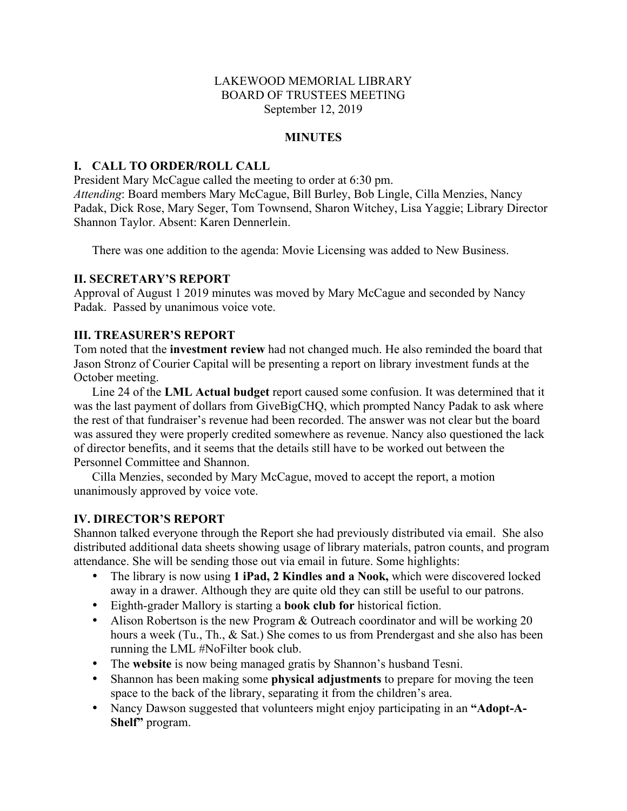## LAKEWOOD MEMORIAL LIBRARY BOARD OF TRUSTEES MEETING September 12, 2019

## **MINUTES**

## **I. CALL TO ORDER/ROLL CALL**

President Mary McCague called the meeting to order at 6:30 pm. *Attending*: Board members Mary McCague, Bill Burley, Bob Lingle, Cilla Menzies, Nancy Padak, Dick Rose, Mary Seger, Tom Townsend, Sharon Witchey, Lisa Yaggie; Library Director Shannon Taylor. Absent: Karen Dennerlein.

There was one addition to the agenda: Movie Licensing was added to New Business.

### **II. SECRETARY'S REPORT**

Approval of August 1 2019 minutes was moved by Mary McCague and seconded by Nancy Padak. Passed by unanimous voice vote.

### **III. TREASURER'S REPORT**

Tom noted that the **investment review** had not changed much. He also reminded the board that Jason Stronz of Courier Capital will be presenting a report on library investment funds at the October meeting.

Line 24 of the **LML Actual budget** report caused some confusion. It was determined that it was the last payment of dollars from GiveBigCHQ, which prompted Nancy Padak to ask where the rest of that fundraiser's revenue had been recorded. The answer was not clear but the board was assured they were properly credited somewhere as revenue. Nancy also questioned the lack of director benefits, and it seems that the details still have to be worked out between the Personnel Committee and Shannon.

Cilla Menzies, seconded by Mary McCague, moved to accept the report, a motion unanimously approved by voice vote.

## **IV. DIRECTOR'S REPORT**

Shannon talked everyone through the Report she had previously distributed via email. She also distributed additional data sheets showing usage of library materials, patron counts, and program attendance. She will be sending those out via email in future. Some highlights:

- The library is now using **1 iPad, 2 Kindles and a Nook,** which were discovered locked away in a drawer. Although they are quite old they can still be useful to our patrons.
- Eighth-grader Mallory is starting a **book club for** historical fiction.
- Alison Robertson is the new Program & Outreach coordinator and will be working 20 hours a week (Tu., Th., & Sat.) She comes to us from Prendergast and she also has been running the LML #NoFilter book club.
- The **website** is now being managed gratis by Shannon's husband Tesni.
- Shannon has been making some **physical adjustments** to prepare for moving the teen space to the back of the library, separating it from the children's area.
- Nancy Dawson suggested that volunteers might enjoy participating in an "Adopt-A-**Shelf"** program.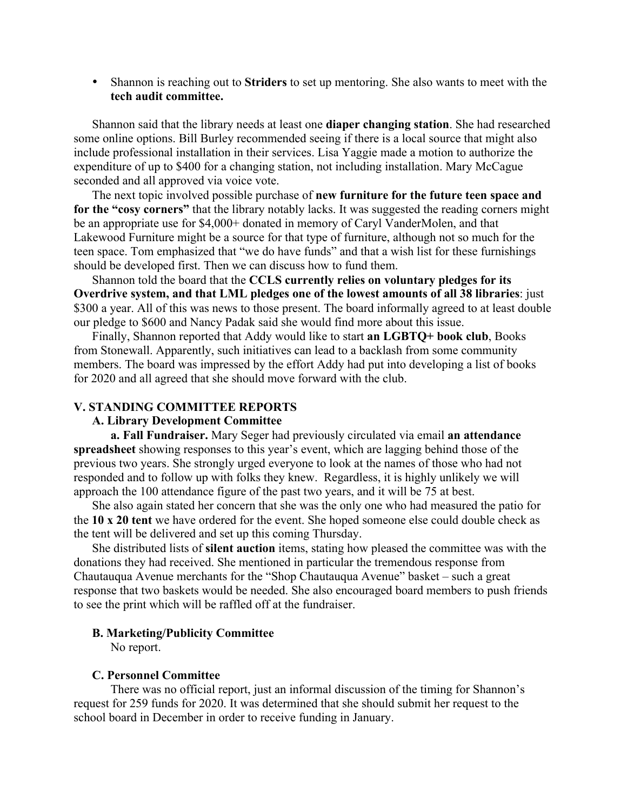• Shannon is reaching out to **Striders** to set up mentoring. She also wants to meet with the **tech audit committee.**

Shannon said that the library needs at least one **diaper changing station**. She had researched some online options. Bill Burley recommended seeing if there is a local source that might also include professional installation in their services. Lisa Yaggie made a motion to authorize the expenditure of up to \$400 for a changing station, not including installation. Mary McCague seconded and all approved via voice vote.

The next topic involved possible purchase of **new furniture for the future teen space and for the "cosy corners"** that the library notably lacks. It was suggested the reading corners might be an appropriate use for \$4,000+ donated in memory of Caryl VanderMolen, and that Lakewood Furniture might be a source for that type of furniture, although not so much for the teen space. Tom emphasized that "we do have funds" and that a wish list for these furnishings should be developed first. Then we can discuss how to fund them.

Shannon told the board that the **CCLS currently relies on voluntary pledges for its Overdrive system, and that LML pledges one of the lowest amounts of all 38 libraries**: just \$300 a year. All of this was news to those present. The board informally agreed to at least double our pledge to \$600 and Nancy Padak said she would find more about this issue.

Finally, Shannon reported that Addy would like to start **an LGBTQ+ book club**, Books from Stonewall. Apparently, such initiatives can lead to a backlash from some community members. The board was impressed by the effort Addy had put into developing a list of books for 2020 and all agreed that she should move forward with the club.

### **V. STANDING COMMITTEE REPORTS**

#### **A. Library Development Committee**

**a. Fall Fundraiser.** Mary Seger had previously circulated via email **an attendance spreadsheet** showing responses to this year's event, which are lagging behind those of the previous two years. She strongly urged everyone to look at the names of those who had not responded and to follow up with folks they knew. Regardless, it is highly unlikely we will approach the 100 attendance figure of the past two years, and it will be 75 at best.

She also again stated her concern that she was the only one who had measured the patio for the **10 x 20 tent** we have ordered for the event. She hoped someone else could double check as the tent will be delivered and set up this coming Thursday.

She distributed lists of **silent auction** items, stating how pleased the committee was with the donations they had received. She mentioned in particular the tremendous response from Chautauqua Avenue merchants for the "Shop Chautauqua Avenue" basket – such a great response that two baskets would be needed. She also encouraged board members to push friends to see the print which will be raffled off at the fundraiser.

#### **B. Marketing/Publicity Committee**

No report.

#### **C. Personnel Committee**

There was no official report, just an informal discussion of the timing for Shannon's request for 259 funds for 2020. It was determined that she should submit her request to the school board in December in order to receive funding in January.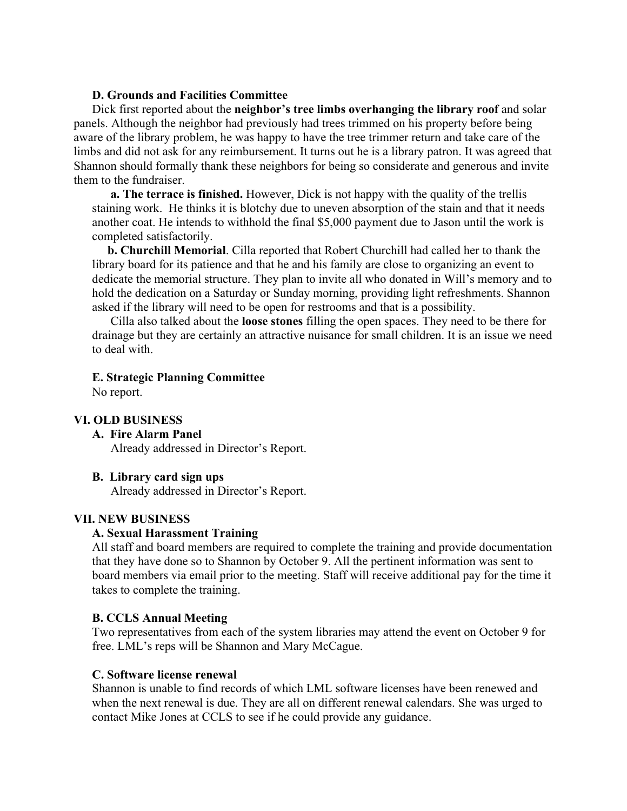### **D. Grounds and Facilities Committee**

Dick first reported about the **neighbor's tree limbs overhanging the library roof** and solar panels. Although the neighbor had previously had trees trimmed on his property before being aware of the library problem, he was happy to have the tree trimmer return and take care of the limbs and did not ask for any reimbursement. It turns out he is a library patron. It was agreed that Shannon should formally thank these neighbors for being so considerate and generous and invite them to the fundraiser.

**a. The terrace is finished.** However, Dick is not happy with the quality of the trellis staining work. He thinks it is blotchy due to uneven absorption of the stain and that it needs another coat. He intends to withhold the final \$5,000 payment due to Jason until the work is completed satisfactorily.

 **b. Churchill Memorial**. Cilla reported that Robert Churchill had called her to thank the library board for its patience and that he and his family are close to organizing an event to dedicate the memorial structure. They plan to invite all who donated in Will's memory and to hold the dedication on a Saturday or Sunday morning, providing light refreshments. Shannon asked if the library will need to be open for restrooms and that is a possibility.

Cilla also talked about the **loose stones** filling the open spaces. They need to be there for drainage but they are certainly an attractive nuisance for small children. It is an issue we need to deal with.

### **E. Strategic Planning Committee**

No report.

## **VI. OLD BUSINESS**

## **A. Fire Alarm Panel**

Already addressed in Director's Report.

#### **B. Library card sign ups**

Already addressed in Director's Report.

## **VII. NEW BUSINESS**

#### **A. Sexual Harassment Training**

All staff and board members are required to complete the training and provide documentation that they have done so to Shannon by October 9. All the pertinent information was sent to board members via email prior to the meeting. Staff will receive additional pay for the time it takes to complete the training.

## **B. CCLS Annual Meeting**

Two representatives from each of the system libraries may attend the event on October 9 for free. LML's reps will be Shannon and Mary McCague.

#### **C. Software license renewal**

Shannon is unable to find records of which LML software licenses have been renewed and when the next renewal is due. They are all on different renewal calendars. She was urged to contact Mike Jones at CCLS to see if he could provide any guidance.